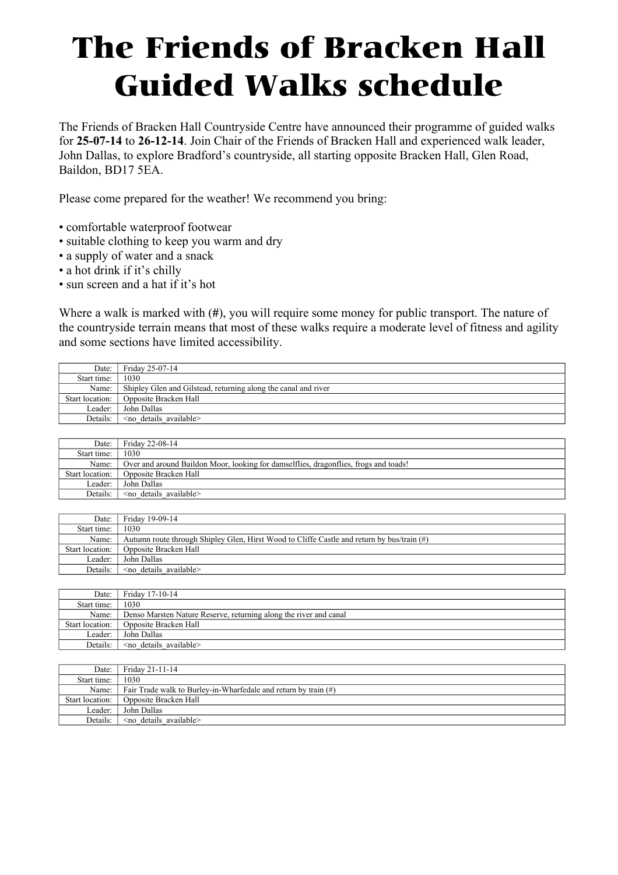## The Friends of Bracken Hall Guided Walks schedule

The Friends of Bracken Hall Countryside Centre have announced their programme of guided walks for **25-07-14** to **26-12-14**. Join Chair of the Friends of Bracken Hall and experienced walk leader, John Dallas, to explore Bradford's countryside, all starting opposite Bracken Hall, Glen Road, Baildon, BD17 5EA.

Please come prepared for the weather! We recommend you bring:

- comfortable waterproof footwear
- suitable clothing to keep you warm and dry
- a supply of water and a snack
- a hot drink if it's chilly
- sun screen and a hat if it's hot

Where a walk is marked with (**#**), you will require some money for public transport. The nature of the countryside terrain means that most of these walks require a moderate level of fitness and agility and some sections have limited accessibility.

| Date:           | Friday 25-07-14                                                |
|-----------------|----------------------------------------------------------------|
| Start time:     | 1030                                                           |
| Name:           | Shipley Glen and Gilstead, returning along the canal and river |
| Start location: | Opposite Bracken Hall                                          |
| Leader:         | John Dallas                                                    |
| Details:        | $\leq$ no details available $\geq$                             |

| Date:           | Friday 22-08-14                                                                      |
|-----------------|--------------------------------------------------------------------------------------|
| Start time:     | 1030                                                                                 |
| Name:           | Over and around Baildon Moor, looking for damselflies, dragonflies, frogs and toads! |
| Start location: | Opposite Bracken Hall                                                                |
| Leader:         | John Dallas                                                                          |
| Details:        | $\leq$ no details available $\geq$                                                   |

| Date:           | Friday 19-09-14                                                                            |
|-----------------|--------------------------------------------------------------------------------------------|
| Start time:     | 1030                                                                                       |
| Name:           | Autumn route through Shipley Glen, Hirst Wood to Cliffe Castle and return by bus/train (#) |
| Start location: | Opposite Bracken Hall                                                                      |
| Leader:         | John Dallas                                                                                |
| Details:        | $\leq$ no details available $\geq$                                                         |

| Date:           | Friday 17-10-14                                                   |
|-----------------|-------------------------------------------------------------------|
| Start time:     | 1030                                                              |
| Name:           | Denso Marsten Nature Reserve, returning along the river and canal |
| Start location: | Opposite Bracken Hall                                             |
| Leader:         | John Dallas                                                       |
| Details:        | $\leq$ no details available $\geq$                                |

| Date:           | Friday 21-11-14                                                    |
|-----------------|--------------------------------------------------------------------|
| Start time:     | 1030                                                               |
| Name:           | Fair Trade walk to Burley-in-Wharfedale and return by train $(\#)$ |
| Start location: | Opposite Bracken Hall                                              |
| Leader:         | John Dallas                                                        |
| Details:        | $\leq$ no details available $\geq$                                 |